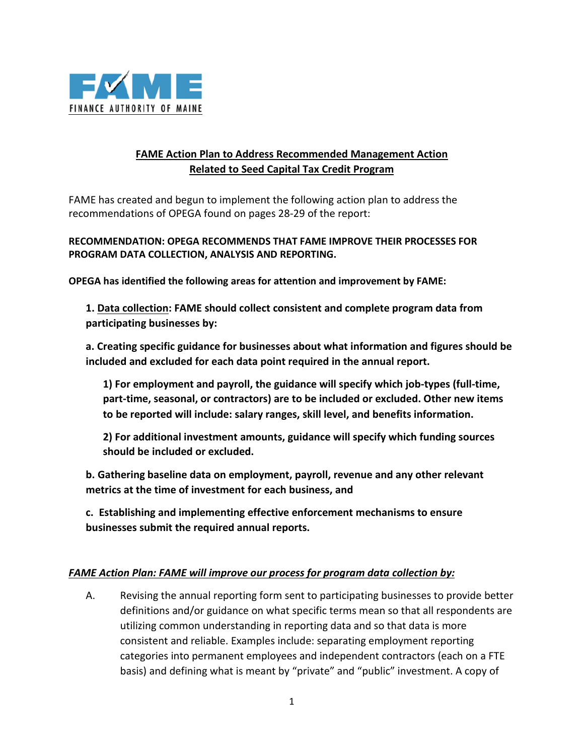

## **FAME Action Plan to Address Recommended Management Action Related to Seed Capital Tax Credit Program**

FAME has created and begun to implement the following action plan to address the recommendations of OPEGA found on pages 28-29 of the report:

**RECOMMENDATION: OPEGA RECOMMENDS THAT FAME IMPROVE THEIR PROCESSES FOR PROGRAM DATA COLLECTION, ANALYSIS AND REPORTING.** 

**OPEGA has identified the following areas for attention and improvement by FAME:** 

**1. Data collection: FAME should collect consistent and complete program data from participating businesses by:** 

**a. Creating specific guidance for businesses about what information and figures should be included and excluded for each data point required in the annual report.** 

**1) For employment and payroll, the guidance will specify which job-types (full-time, part-time, seasonal, or contractors) are to be included or excluded. Other new items to be reported will include: salary ranges, skill level, and benefits information.** 

**2) For additional investment amounts, guidance will specify which funding sources should be included or excluded.** 

**b. Gathering baseline data on employment, payroll, revenue and any other relevant metrics at the time of investment for each business, and** 

**c. Establishing and implementing effective enforcement mechanisms to ensure businesses submit the required annual reports.** 

### *FAME Action Plan: FAME will improve our process for program data collection by:*

A. Revising the annual reporting form sent to participating businesses to provide better definitions and/or guidance on what specific terms mean so that all respondents are utilizing common understanding in reporting data and so that data is more consistent and reliable. Examples include: separating employment reporting categories into permanent employees and independent contractors (each on a FTE basis) and defining what is meant by "private" and "public" investment. A copy of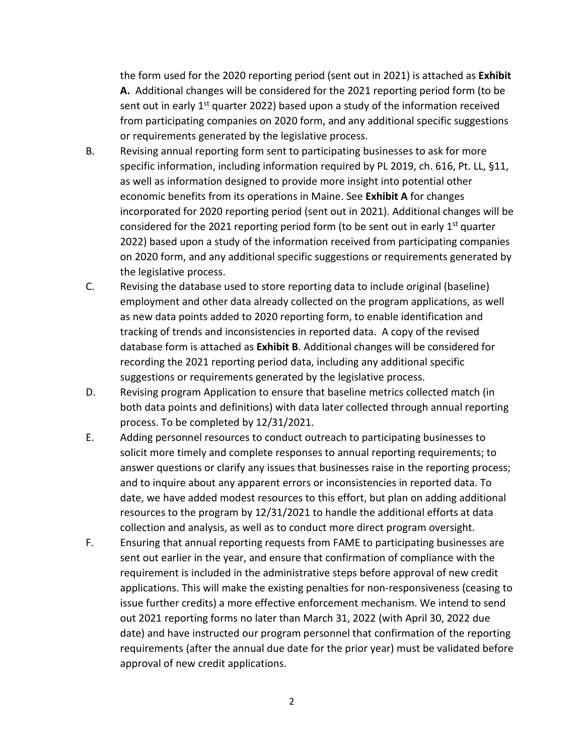the form used for the 2020 reporting period (sent out in 2021) is attached as **Exhibit A.** Additional changes will be considered for the 2021 reporting period form (to be sent out in early  $1^{st}$  quarter 2022) based upon a study of the information received from participating companies on 2020 form, and any additional specific suggestions or requirements generated by the legislative process.

- B. Revising annual reporting form sent to participating businesses to ask for more specific information, including information required by PL 2019, ch. 616, Pt. LL, §11, as well as information designed to provide more insight into potential other economic benefits from its operations in Maine. See **Exhibit A** for changes incorporated for 2020 reporting period (sent out in 2021). Additional changes will be considered for the 2021 reporting period form (to be sent out in early  $1<sup>st</sup>$  quarter 2022) based upon a study of the information received from participating companies on 2020 form, and any additional specific suggestions or requirements generated by the legislative process.
- C. Revising the database used to store reporting data to include original (baseline) employment and other data already collected on the program applications, as well as new data points added to 2020 reporting form, to enable identification and tracking of trends and inconsistencies in reported data. A copy of the revised database form is attached as **Exhibit B**. Additional changes will be considered for recording the 2021 reporting period data, including any additional specific suggestions or requirements generated by the legislative process.
- D. Revising program Application to ensure that baseline metrics collected match (in both data points and definitions) with data later collected through annual reporting process. To be completed by 12/31/2021.
- E. Adding personnel resources to conduct outreach to participating businesses to solicit more timely and complete responses to annual reporting requirements; to answer questions or clarify any issues that businesses raise in the reporting process; and to inquire about any apparent errors or inconsistencies in reported data. To date, we have added modest resources to this effort, but plan on adding additional resources to the program by 12/31/2021 to handle the additional efforts at data collection and analysis, as well as to conduct more direct program oversight.
- F. Ensuring that annual reporting requests from FAME to participating businesses are sent out earlier in the year, and ensure that confirmation of compliance with the requirement is included in the administrative steps before approval of new credit applications. This will make the existing penalties for non-responsiveness (ceasing to issue further credits) a more effective enforcement mechanism. We intend to send out 2021 reporting forms no later than March 31, 2022 (with April 30, 2022 due date) and have instructed our program personnel that confirmation of the reporting requirements (after the annual due date for the prior year) must be validated before approval of new credit applications.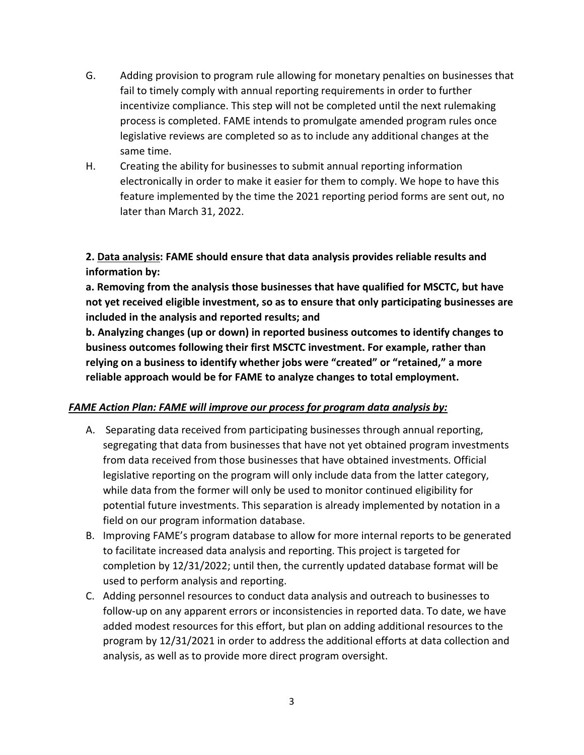- G. Adding provision to program rule allowing for monetary penalties on businesses that fail to timely comply with annual reporting requirements in order to further incentivize compliance. This step will not be completed until the next rulemaking process is completed. FAME intends to promulgate amended program rules once legislative reviews are completed so as to include any additional changes at the same time.
- H. Creating the ability for businesses to submit annual reporting information electronically in order to make it easier for them to comply. We hope to have this feature implemented by the time the 2021 reporting period forms are sent out, no later than March 31, 2022.

**2. Data analysis: FAME should ensure that data analysis provides reliable results and information by:** 

**a. Removing from the analysis those businesses that have qualified for MSCTC, but have not yet received eligible investment, so as to ensure that only participating businesses are included in the analysis and reported results; and** 

**b. Analyzing changes (up or down) in reported business outcomes to identify changes to business outcomes following their first MSCTC investment. For example, rather than relying on a business to identify whether jobs were "created" or "retained," a more reliable approach would be for FAME to analyze changes to total employment.** 

### *FAME Action Plan: FAME will improve our process for program data analysis by:*

- A. Separating data received from participating businesses through annual reporting, segregating that data from businesses that have not yet obtained program investments from data received from those businesses that have obtained investments. Official legislative reporting on the program will only include data from the latter category, while data from the former will only be used to monitor continued eligibility for potential future investments. This separation is already implemented by notation in a field on our program information database.
- B. Improving FAME's program database to allow for more internal reports to be generated to facilitate increased data analysis and reporting. This project is targeted for completion by 12/31/2022; until then, the currently updated database format will be used to perform analysis and reporting.
- C. Adding personnel resources to conduct data analysis and outreach to businesses to follow-up on any apparent errors or inconsistencies in reported data. To date, we have added modest resources for this effort, but plan on adding additional resources to the program by 12/31/2021 in order to address the additional efforts at data collection and analysis, as well as to provide more direct program oversight.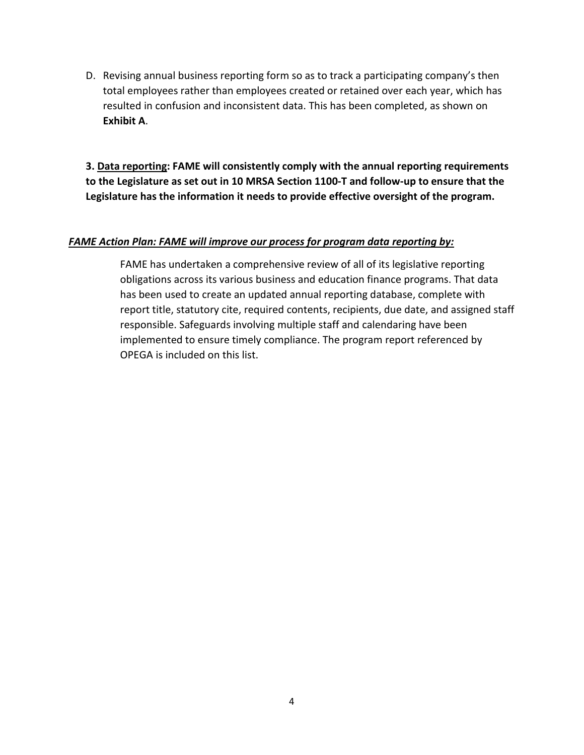D. Revising annual business reporting form so as to track a participating company's then total employees rather than employees created or retained over each year, which has resulted in confusion and inconsistent data. This has been completed, as shown on **Exhibit A**.

**3. Data reporting: FAME will consistently comply with the annual reporting requirements to the Legislature as set out in 10 MRSA Section 1100-T and follow-up to ensure that the Legislature has the information it needs to provide effective oversight of the program.** 

### *FAME Action Plan: FAME will improve our process for program data reporting by:*

FAME has undertaken a comprehensive review of all of its legislative reporting obligations across its various business and education finance programs. That data has been used to create an updated annual reporting database, complete with report title, statutory cite, required contents, recipients, due date, and assigned staff responsible. Safeguards involving multiple staff and calendaring have been implemented to ensure timely compliance. The program report referenced by OPEGA is included on this list.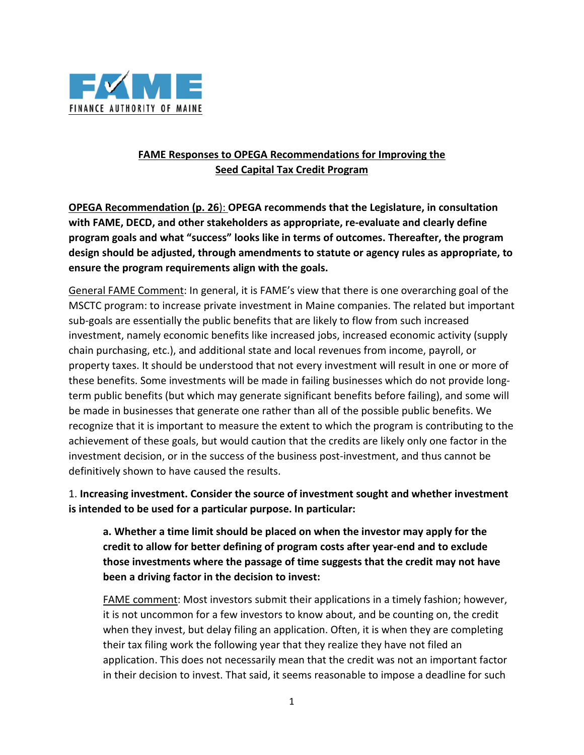

# **FAME Responses to OPEGA Recommendations for Improving the Seed Capital Tax Credit Program**

**OPEGA Recommendation (p. 26**): **OPEGA recommends that the Legislature, in consultation with FAME, DECD, and other stakeholders as appropriate, re-evaluate and clearly define program goals and what "success" looks like in terms of outcomes. Thereafter, the program design should be adjusted, through amendments to statute or agency rules as appropriate, to ensure the program requirements align with the goals.**

General FAME Comment: In general, it is FAME's view that there is one overarching goal of the MSCTC program: to increase private investment in Maine companies. The related but important sub-goals are essentially the public benefits that are likely to flow from such increased investment, namely economic benefits like increased jobs, increased economic activity (supply chain purchasing, etc.), and additional state and local revenues from income, payroll, or property taxes. It should be understood that not every investment will result in one or more of these benefits. Some investments will be made in failing businesses which do not provide longterm public benefits (but which may generate significant benefits before failing), and some will be made in businesses that generate one rather than all of the possible public benefits. We recognize that it is important to measure the extent to which the program is contributing to the achievement of these goals, but would caution that the credits are likely only one factor in the investment decision, or in the success of the business post-investment, and thus cannot be definitively shown to have caused the results.

1. **Increasing investment. Consider the source of investment sought and whether investment is intended to be used for a particular purpose. In particular:** 

**a. Whether a time limit should be placed on when the investor may apply for the credit to allow for better defining of program costs after year-end and to exclude those investments where the passage of time suggests that the credit may not have been a driving factor in the decision to invest:** 

FAME comment: Most investors submit their applications in a timely fashion; however, it is not uncommon for a few investors to know about, and be counting on, the credit when they invest, but delay filing an application. Often, it is when they are completing their tax filing work the following year that they realize they have not filed an application. This does not necessarily mean that the credit was not an important factor in their decision to invest. That said, it seems reasonable to impose a deadline for such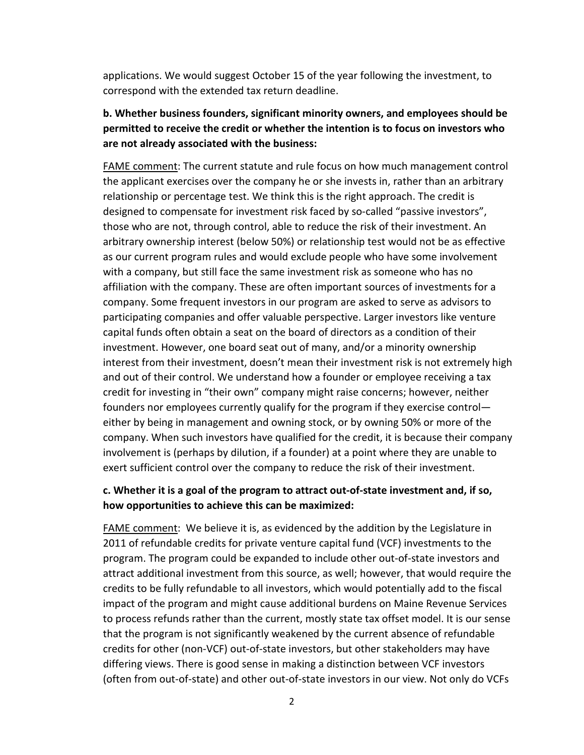applications. We would suggest October 15 of the year following the investment, to correspond with the extended tax return deadline.

### **b. Whether business founders, significant minority owners, and employees should be permitted to receive the credit or whether the intention is to focus on investors who are not already associated with the business:**

FAME comment: The current statute and rule focus on how much management control the applicant exercises over the company he or she invests in, rather than an arbitrary relationship or percentage test. We think this is the right approach. The credit is designed to compensate for investment risk faced by so-called "passive investors", those who are not, through control, able to reduce the risk of their investment. An arbitrary ownership interest (below 50%) or relationship test would not be as effective as our current program rules and would exclude people who have some involvement with a company, but still face the same investment risk as someone who has no affiliation with the company. These are often important sources of investments for a company. Some frequent investors in our program are asked to serve as advisors to participating companies and offer valuable perspective. Larger investors like venture capital funds often obtain a seat on the board of directors as a condition of their investment. However, one board seat out of many, and/or a minority ownership interest from their investment, doesn't mean their investment risk is not extremely high and out of their control. We understand how a founder or employee receiving a tax credit for investing in "their own" company might raise concerns; however, neither founders nor employees currently qualify for the program if they exercise control either by being in management and owning stock, or by owning 50% or more of the company. When such investors have qualified for the credit, it is because their company involvement is (perhaps by dilution, if a founder) at a point where they are unable to exert sufficient control over the company to reduce the risk of their investment.

### **c. Whether it is a goal of the program to attract out-of-state investment and, if so, how opportunities to achieve this can be maximized:**

FAME comment: We believe it is, as evidenced by the addition by the Legislature in 2011 of refundable credits for private venture capital fund (VCF) investments to the program. The program could be expanded to include other out-of-state investors and attract additional investment from this source, as well; however, that would require the credits to be fully refundable to all investors, which would potentially add to the fiscal impact of the program and might cause additional burdens on Maine Revenue Services to process refunds rather than the current, mostly state tax offset model. It is our sense that the program is not significantly weakened by the current absence of refundable credits for other (non-VCF) out-of-state investors, but other stakeholders may have differing views. There is good sense in making a distinction between VCF investors (often from out-of-state) and other out-of-state investors in our view. Not only do VCFs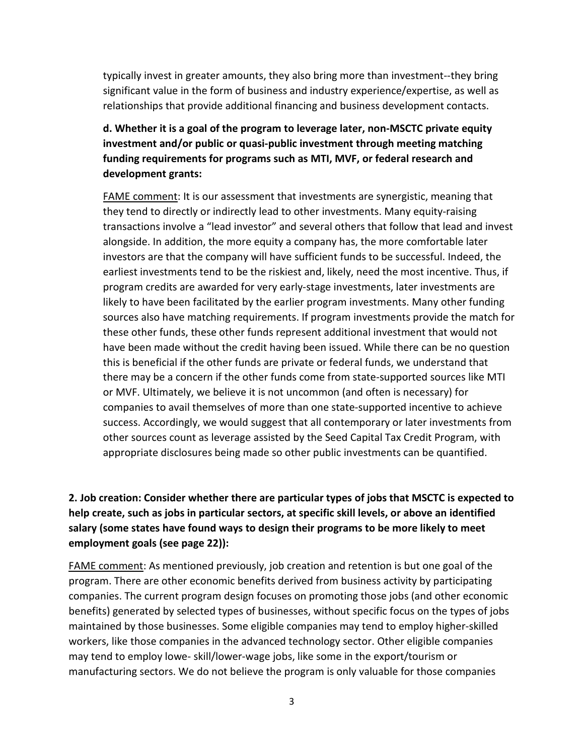typically invest in greater amounts, they also bring more than investment--they bring significant value in the form of business and industry experience/expertise, as well as relationships that provide additional financing and business development contacts.

## **d. Whether it is a goal of the program to leverage later, non-MSCTC private equity investment and/or public or quasi-public investment through meeting matching funding requirements for programs such as MTI, MVF, or federal research and development grants:**

FAME comment: It is our assessment that investments are synergistic, meaning that they tend to directly or indirectly lead to other investments. Many equity-raising transactions involve a "lead investor" and several others that follow that lead and invest alongside. In addition, the more equity a company has, the more comfortable later investors are that the company will have sufficient funds to be successful. Indeed, the earliest investments tend to be the riskiest and, likely, need the most incentive. Thus, if program credits are awarded for very early-stage investments, later investments are likely to have been facilitated by the earlier program investments. Many other funding sources also have matching requirements. If program investments provide the match for these other funds, these other funds represent additional investment that would not have been made without the credit having been issued. While there can be no question this is beneficial if the other funds are private or federal funds, we understand that there may be a concern if the other funds come from state-supported sources like MTI or MVF. Ultimately, we believe it is not uncommon (and often is necessary) for companies to avail themselves of more than one state-supported incentive to achieve success. Accordingly, we would suggest that all contemporary or later investments from other sources count as leverage assisted by the Seed Capital Tax Credit Program, with appropriate disclosures being made so other public investments can be quantified.

# **2. Job creation: Consider whether there are particular types of jobs that MSCTC is expected to help create, such as jobs in particular sectors, at specific skill levels, or above an identified salary (some states have found ways to design their programs to be more likely to meet employment goals (see page 22)):**

FAME comment: As mentioned previously, job creation and retention is but one goal of the program. There are other economic benefits derived from business activity by participating companies. The current program design focuses on promoting those jobs (and other economic benefits) generated by selected types of businesses, without specific focus on the types of jobs maintained by those businesses. Some eligible companies may tend to employ higher-skilled workers, like those companies in the advanced technology sector. Other eligible companies may tend to employ lowe- skill/lower-wage jobs, like some in the export/tourism or manufacturing sectors. We do not believe the program is only valuable for those companies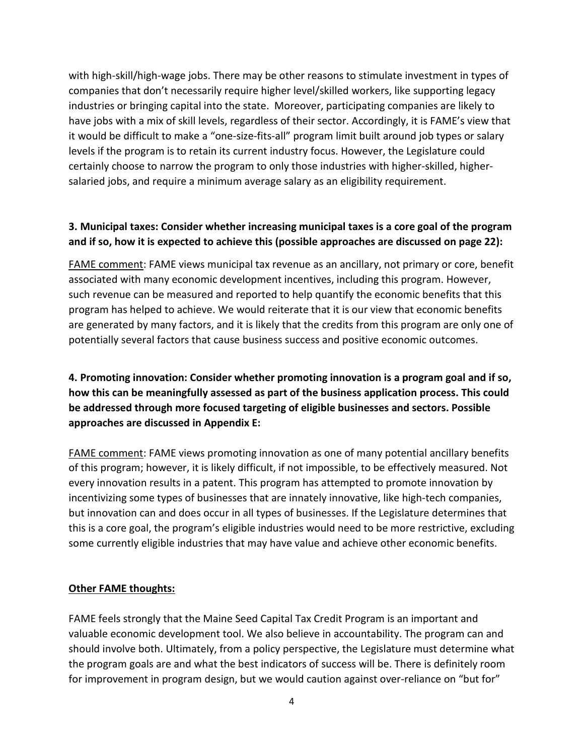with high-skill/high-wage jobs. There may be other reasons to stimulate investment in types of companies that don't necessarily require higher level/skilled workers, like supporting legacy industries or bringing capital into the state. Moreover, participating companies are likely to have jobs with a mix of skill levels, regardless of their sector. Accordingly, it is FAME's view that it would be difficult to make a "one-size-fits-all" program limit built around job types or salary levels if the program is to retain its current industry focus. However, the Legislature could certainly choose to narrow the program to only those industries with higher-skilled, highersalaried jobs, and require a minimum average salary as an eligibility requirement.

## **3. Municipal taxes: Consider whether increasing municipal taxes is a core goal of the program and if so, how it is expected to achieve this (possible approaches are discussed on page 22):**

FAME comment: FAME views municipal tax revenue as an ancillary, not primary or core, benefit associated with many economic development incentives, including this program. However, such revenue can be measured and reported to help quantify the economic benefits that this program has helped to achieve. We would reiterate that it is our view that economic benefits are generated by many factors, and it is likely that the credits from this program are only one of potentially several factors that cause business success and positive economic outcomes.

# **4. Promoting innovation: Consider whether promoting innovation is a program goal and if so, how this can be meaningfully assessed as part of the business application process. This could be addressed through more focused targeting of eligible businesses and sectors. Possible approaches are discussed in Appendix E:**

FAME comment: FAME views promoting innovation as one of many potential ancillary benefits of this program; however, it is likely difficult, if not impossible, to be effectively measured. Not every innovation results in a patent. This program has attempted to promote innovation by incentivizing some types of businesses that are innately innovative, like high-tech companies, but innovation can and does occur in all types of businesses. If the Legislature determines that this is a core goal, the program's eligible industries would need to be more restrictive, excluding some currently eligible industries that may have value and achieve other economic benefits.

#### **Other FAME thoughts:**

FAME feels strongly that the Maine Seed Capital Tax Credit Program is an important and valuable economic development tool. We also believe in accountability. The program can and should involve both. Ultimately, from a policy perspective, the Legislature must determine what the program goals are and what the best indicators of success will be. There is definitely room for improvement in program design, but we would caution against over-reliance on "but for"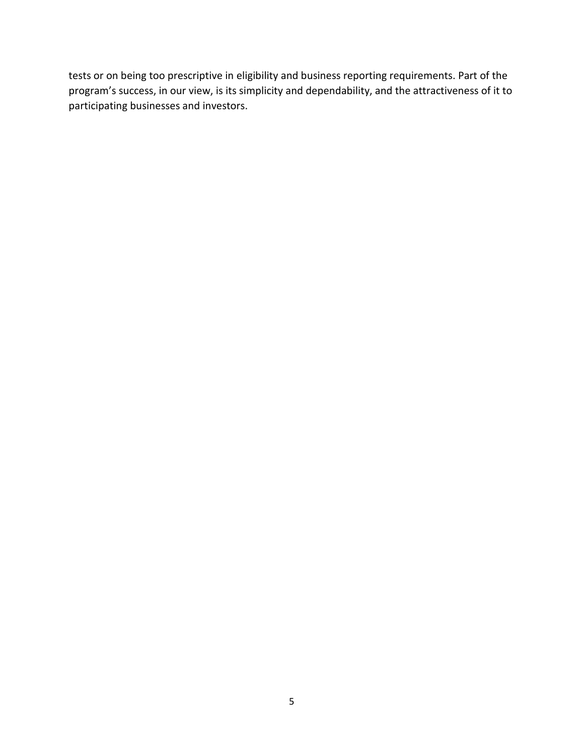tests or on being too prescriptive in eligibility and business reporting requirements. Part of the program's success, in our view, is its simplicity and dependability, and the attractiveness of it to participating businesses and investors.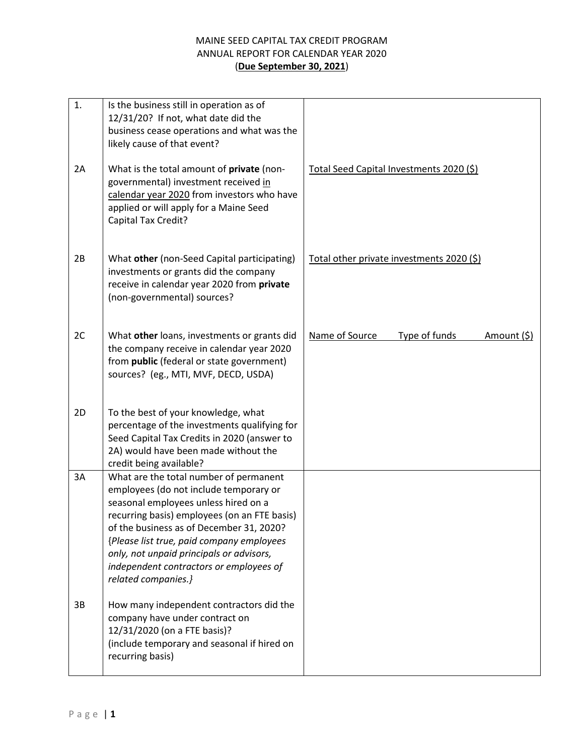#### MAINE SEED CAPITAL TAX CREDIT PROGRAM ANNUAL REPORT FOR CALENDAR YEAR 2020 (**Due September 30, 2021**)

| 1. | Is the business still in operation as of<br>12/31/20? If not, what date did the<br>business cease operations and what was the<br>likely cause of that event?                                                                                                                                                                                                                    |                                                |
|----|---------------------------------------------------------------------------------------------------------------------------------------------------------------------------------------------------------------------------------------------------------------------------------------------------------------------------------------------------------------------------------|------------------------------------------------|
| 2A | What is the total amount of private (non-<br>governmental) investment received in<br>calendar year 2020 from investors who have<br>applied or will apply for a Maine Seed<br>Capital Tax Credit?                                                                                                                                                                                | Total Seed Capital Investments 2020 (\$)       |
| 2B | What other (non-Seed Capital participating)<br>investments or grants did the company<br>receive in calendar year 2020 from private<br>(non-governmental) sources?                                                                                                                                                                                                               | Total other private investments 2020 (\$)      |
| 2C | What other loans, investments or grants did<br>the company receive in calendar year 2020<br>from public (federal or state government)<br>sources? (eg., MTI, MVF, DECD, USDA)                                                                                                                                                                                                   | Name of Source<br>Type of funds<br>Amount (\$) |
| 2D | To the best of your knowledge, what<br>percentage of the investments qualifying for<br>Seed Capital Tax Credits in 2020 (answer to<br>2A) would have been made without the<br>credit being available?                                                                                                                                                                           |                                                |
| 3A | What are the total number of permanent<br>employees (do not include temporary or<br>seasonal employees unless hired on a<br>recurring basis) employees (on an FTE basis)<br>of the business as of December 31, 2020?<br>{Please list true, paid company employees<br>only, not unpaid principals or advisors,<br>independent contractors or employees of<br>related companies.} |                                                |
| 3B | How many independent contractors did the<br>company have under contract on<br>12/31/2020 (on a FTE basis)?<br>(include temporary and seasonal if hired on<br>recurring basis)                                                                                                                                                                                                   |                                                |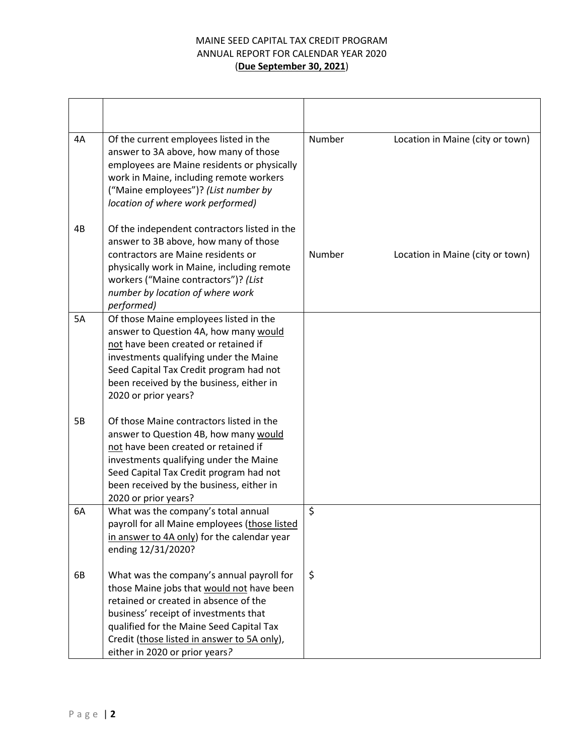### MAINE SEED CAPITAL TAX CREDIT PROGRAM ANNUAL REPORT FOR CALENDAR YEAR 2020 (**Due September 30, 2021**)

| 4A        | Of the current employees listed in the<br>answer to 3A above, how many of those<br>employees are Maine residents or physically<br>work in Maine, including remote workers<br>("Maine employees")? (List number by<br>location of where work performed)                                                | Number | Location in Maine (city or town) |
|-----------|-------------------------------------------------------------------------------------------------------------------------------------------------------------------------------------------------------------------------------------------------------------------------------------------------------|--------|----------------------------------|
| 4B        | Of the independent contractors listed in the<br>answer to 3B above, how many of those<br>contractors are Maine residents or<br>physically work in Maine, including remote<br>workers ("Maine contractors")? (List<br>number by location of where work<br>performed)                                   | Number | Location in Maine (city or town) |
| <b>5A</b> | Of those Maine employees listed in the<br>answer to Question 4A, how many would<br>not have been created or retained if<br>investments qualifying under the Maine<br>Seed Capital Tax Credit program had not<br>been received by the business, either in<br>2020 or prior years?                      |        |                                  |
| 5B        | Of those Maine contractors listed in the<br>answer to Question 4B, how many would<br>not have been created or retained if<br>investments qualifying under the Maine<br>Seed Capital Tax Credit program had not<br>been received by the business, either in<br>2020 or prior years?                    |        |                                  |
| 6A        | What was the company's total annual<br>payroll for all Maine employees (those listed<br>in answer to 4A only) for the calendar year<br>ending 12/31/2020?                                                                                                                                             | \$     |                                  |
| 6B        | What was the company's annual payroll for<br>those Maine jobs that would not have been<br>retained or created in absence of the<br>business' receipt of investments that<br>qualified for the Maine Seed Capital Tax<br>Credit (those listed in answer to 5A only),<br>either in 2020 or prior years? | \$     |                                  |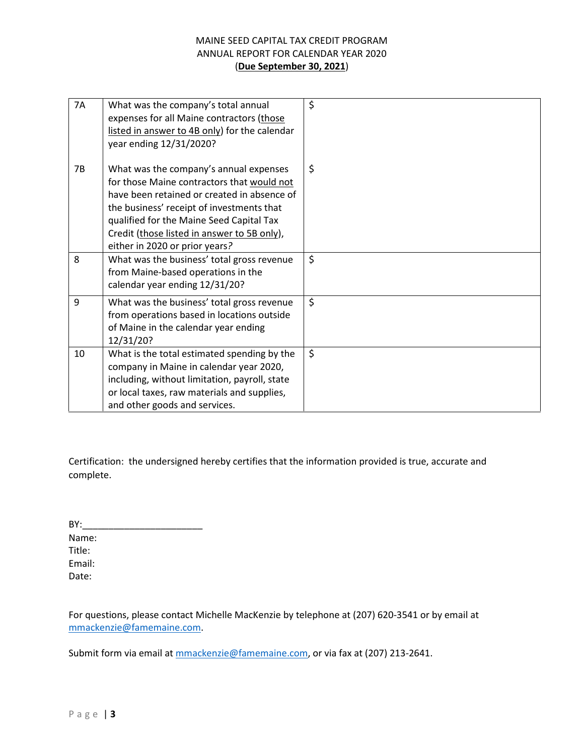#### MAINE SEED CAPITAL TAX CREDIT PROGRAM ANNUAL REPORT FOR CALENDAR YEAR 2020 (**Due September 30, 2021**)

| <b>7A</b> | What was the company's total annual<br>expenses for all Maine contractors (those<br>listed in answer to 4B only) for the calendar<br>year ending 12/31/2020?                                                                                                                                                  | \$ |
|-----------|---------------------------------------------------------------------------------------------------------------------------------------------------------------------------------------------------------------------------------------------------------------------------------------------------------------|----|
| <b>7B</b> | What was the company's annual expenses<br>for those Maine contractors that would not<br>have been retained or created in absence of<br>the business' receipt of investments that<br>qualified for the Maine Seed Capital Tax<br>Credit (those listed in answer to 5B only),<br>either in 2020 or prior years? | \$ |
| 8         | What was the business' total gross revenue<br>from Maine-based operations in the<br>calendar year ending 12/31/20?                                                                                                                                                                                            | \$ |
| 9         | What was the business' total gross revenue<br>from operations based in locations outside<br>of Maine in the calendar year ending<br>12/31/20?                                                                                                                                                                 | \$ |
| 10        | What is the total estimated spending by the<br>company in Maine in calendar year 2020,<br>including, without limitation, payroll, state<br>or local taxes, raw materials and supplies,<br>and other goods and services.                                                                                       | \$ |

Certification: the undersigned hereby certifies that the information provided is true, accurate and complete.

BY:\_\_\_\_\_\_\_\_\_\_\_\_\_\_\_\_\_\_\_\_\_\_\_ Name: Title: Email: Date:

For questions, please contact Michelle MacKenzie by telephone at (207) 620-3541 or by email at [mmackenzie@famemaine.com.](mailto:mmackenzie@famemaine.com)

Submit form via email at [mmackenzie@famemaine.com,](mailto:mmackenzie@famemaine.com) or via fax at (207) 213-2641.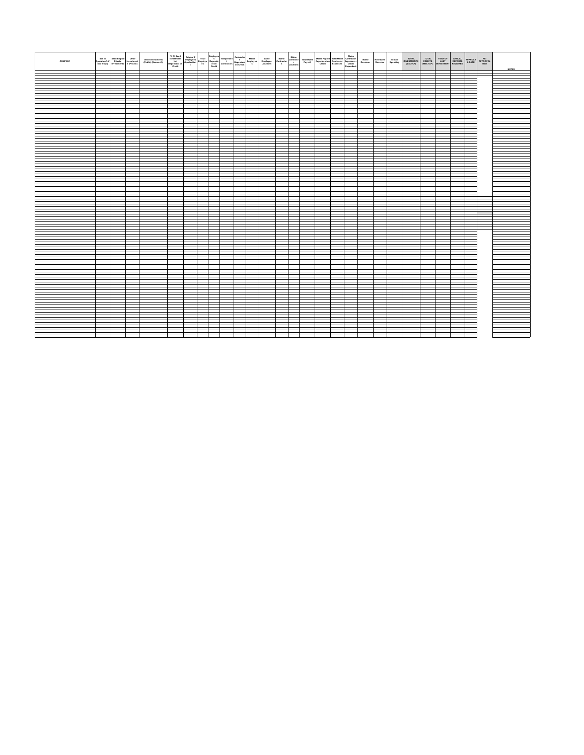| COMPANY | Still in Seed Eligible Other<br>Operation? (If Private Investment<br>not, why?) Investments s (Private) | Other Investments<br>(Public) (Sources?) |  |  |  |  |  |  |  |  | _ SONG Designitive Projective Designition (Song Designition Designition Designition Designition Designition Company Projection Projection (Song Designition Designition Designition Designition Designition Designition Desi |  |  | NOTES |
|---------|---------------------------------------------------------------------------------------------------------|------------------------------------------|--|--|--|--|--|--|--|--|------------------------------------------------------------------------------------------------------------------------------------------------------------------------------------------------------------------------------|--|--|-------|
|         |                                                                                                         |                                          |  |  |  |  |  |  |  |  |                                                                                                                                                                                                                              |  |  |       |
|         |                                                                                                         |                                          |  |  |  |  |  |  |  |  |                                                                                                                                                                                                                              |  |  |       |
|         |                                                                                                         |                                          |  |  |  |  |  |  |  |  |                                                                                                                                                                                                                              |  |  |       |
|         |                                                                                                         |                                          |  |  |  |  |  |  |  |  |                                                                                                                                                                                                                              |  |  |       |
|         |                                                                                                         |                                          |  |  |  |  |  |  |  |  |                                                                                                                                                                                                                              |  |  |       |
|         |                                                                                                         |                                          |  |  |  |  |  |  |  |  |                                                                                                                                                                                                                              |  |  |       |
|         |                                                                                                         |                                          |  |  |  |  |  |  |  |  |                                                                                                                                                                                                                              |  |  |       |
|         |                                                                                                         |                                          |  |  |  |  |  |  |  |  |                                                                                                                                                                                                                              |  |  |       |
|         |                                                                                                         |                                          |  |  |  |  |  |  |  |  |                                                                                                                                                                                                                              |  |  |       |
|         |                                                                                                         |                                          |  |  |  |  |  |  |  |  |                                                                                                                                                                                                                              |  |  |       |
|         |                                                                                                         |                                          |  |  |  |  |  |  |  |  |                                                                                                                                                                                                                              |  |  |       |
|         |                                                                                                         |                                          |  |  |  |  |  |  |  |  |                                                                                                                                                                                                                              |  |  |       |
|         |                                                                                                         |                                          |  |  |  |  |  |  |  |  |                                                                                                                                                                                                                              |  |  |       |
|         |                                                                                                         |                                          |  |  |  |  |  |  |  |  |                                                                                                                                                                                                                              |  |  |       |
|         |                                                                                                         |                                          |  |  |  |  |  |  |  |  |                                                                                                                                                                                                                              |  |  |       |
|         |                                                                                                         |                                          |  |  |  |  |  |  |  |  |                                                                                                                                                                                                                              |  |  |       |
|         |                                                                                                         |                                          |  |  |  |  |  |  |  |  |                                                                                                                                                                                                                              |  |  |       |
|         |                                                                                                         |                                          |  |  |  |  |  |  |  |  |                                                                                                                                                                                                                              |  |  |       |
|         |                                                                                                         |                                          |  |  |  |  |  |  |  |  |                                                                                                                                                                                                                              |  |  |       |
|         |                                                                                                         |                                          |  |  |  |  |  |  |  |  |                                                                                                                                                                                                                              |  |  |       |
|         |                                                                                                         |                                          |  |  |  |  |  |  |  |  |                                                                                                                                                                                                                              |  |  |       |
|         |                                                                                                         |                                          |  |  |  |  |  |  |  |  |                                                                                                                                                                                                                              |  |  |       |
|         |                                                                                                         |                                          |  |  |  |  |  |  |  |  |                                                                                                                                                                                                                              |  |  |       |
|         |                                                                                                         |                                          |  |  |  |  |  |  |  |  |                                                                                                                                                                                                                              |  |  |       |
|         |                                                                                                         |                                          |  |  |  |  |  |  |  |  |                                                                                                                                                                                                                              |  |  |       |
|         |                                                                                                         |                                          |  |  |  |  |  |  |  |  |                                                                                                                                                                                                                              |  |  |       |
|         |                                                                                                         |                                          |  |  |  |  |  |  |  |  |                                                                                                                                                                                                                              |  |  |       |
|         |                                                                                                         |                                          |  |  |  |  |  |  |  |  |                                                                                                                                                                                                                              |  |  |       |
|         |                                                                                                         |                                          |  |  |  |  |  |  |  |  |                                                                                                                                                                                                                              |  |  |       |
|         |                                                                                                         |                                          |  |  |  |  |  |  |  |  |                                                                                                                                                                                                                              |  |  |       |
|         |                                                                                                         |                                          |  |  |  |  |  |  |  |  |                                                                                                                                                                                                                              |  |  |       |
|         |                                                                                                         |                                          |  |  |  |  |  |  |  |  |                                                                                                                                                                                                                              |  |  |       |
|         |                                                                                                         |                                          |  |  |  |  |  |  |  |  |                                                                                                                                                                                                                              |  |  |       |
|         |                                                                                                         |                                          |  |  |  |  |  |  |  |  |                                                                                                                                                                                                                              |  |  |       |
|         |                                                                                                         |                                          |  |  |  |  |  |  |  |  |                                                                                                                                                                                                                              |  |  |       |
|         |                                                                                                         |                                          |  |  |  |  |  |  |  |  |                                                                                                                                                                                                                              |  |  |       |
|         |                                                                                                         |                                          |  |  |  |  |  |  |  |  |                                                                                                                                                                                                                              |  |  |       |
|         |                                                                                                         |                                          |  |  |  |  |  |  |  |  |                                                                                                                                                                                                                              |  |  |       |
|         |                                                                                                         |                                          |  |  |  |  |  |  |  |  |                                                                                                                                                                                                                              |  |  |       |
|         |                                                                                                         |                                          |  |  |  |  |  |  |  |  |                                                                                                                                                                                                                              |  |  |       |
|         |                                                                                                         |                                          |  |  |  |  |  |  |  |  |                                                                                                                                                                                                                              |  |  |       |
|         |                                                                                                         |                                          |  |  |  |  |  |  |  |  |                                                                                                                                                                                                                              |  |  |       |
|         |                                                                                                         |                                          |  |  |  |  |  |  |  |  |                                                                                                                                                                                                                              |  |  |       |
|         |                                                                                                         |                                          |  |  |  |  |  |  |  |  |                                                                                                                                                                                                                              |  |  |       |
|         |                                                                                                         |                                          |  |  |  |  |  |  |  |  |                                                                                                                                                                                                                              |  |  |       |
|         |                                                                                                         |                                          |  |  |  |  |  |  |  |  |                                                                                                                                                                                                                              |  |  |       |
|         |                                                                                                         |                                          |  |  |  |  |  |  |  |  |                                                                                                                                                                                                                              |  |  |       |
|         |                                                                                                         |                                          |  |  |  |  |  |  |  |  |                                                                                                                                                                                                                              |  |  |       |
|         |                                                                                                         |                                          |  |  |  |  |  |  |  |  |                                                                                                                                                                                                                              |  |  |       |
|         |                                                                                                         |                                          |  |  |  |  |  |  |  |  |                                                                                                                                                                                                                              |  |  |       |
|         |                                                                                                         |                                          |  |  |  |  |  |  |  |  |                                                                                                                                                                                                                              |  |  |       |
|         |                                                                                                         |                                          |  |  |  |  |  |  |  |  |                                                                                                                                                                                                                              |  |  |       |
|         |                                                                                                         |                                          |  |  |  |  |  |  |  |  |                                                                                                                                                                                                                              |  |  |       |
|         |                                                                                                         |                                          |  |  |  |  |  |  |  |  |                                                                                                                                                                                                                              |  |  |       |
|         |                                                                                                         |                                          |  |  |  |  |  |  |  |  |                                                                                                                                                                                                                              |  |  |       |
|         |                                                                                                         |                                          |  |  |  |  |  |  |  |  |                                                                                                                                                                                                                              |  |  |       |
|         |                                                                                                         |                                          |  |  |  |  |  |  |  |  |                                                                                                                                                                                                                              |  |  |       |
|         |                                                                                                         |                                          |  |  |  |  |  |  |  |  |                                                                                                                                                                                                                              |  |  |       |
|         |                                                                                                         |                                          |  |  |  |  |  |  |  |  |                                                                                                                                                                                                                              |  |  |       |
|         |                                                                                                         |                                          |  |  |  |  |  |  |  |  |                                                                                                                                                                                                                              |  |  |       |
|         |                                                                                                         |                                          |  |  |  |  |  |  |  |  |                                                                                                                                                                                                                              |  |  |       |
|         |                                                                                                         |                                          |  |  |  |  |  |  |  |  |                                                                                                                                                                                                                              |  |  |       |
|         |                                                                                                         |                                          |  |  |  |  |  |  |  |  |                                                                                                                                                                                                                              |  |  |       |
|         |                                                                                                         |                                          |  |  |  |  |  |  |  |  |                                                                                                                                                                                                                              |  |  |       |
|         |                                                                                                         |                                          |  |  |  |  |  |  |  |  |                                                                                                                                                                                                                              |  |  |       |
|         |                                                                                                         |                                          |  |  |  |  |  |  |  |  |                                                                                                                                                                                                                              |  |  |       |
|         |                                                                                                         |                                          |  |  |  |  |  |  |  |  |                                                                                                                                                                                                                              |  |  |       |
|         |                                                                                                         |                                          |  |  |  |  |  |  |  |  |                                                                                                                                                                                                                              |  |  |       |
|         |                                                                                                         |                                          |  |  |  |  |  |  |  |  |                                                                                                                                                                                                                              |  |  |       |
|         |                                                                                                         |                                          |  |  |  |  |  |  |  |  |                                                                                                                                                                                                                              |  |  |       |
|         |                                                                                                         |                                          |  |  |  |  |  |  |  |  |                                                                                                                                                                                                                              |  |  |       |
|         |                                                                                                         |                                          |  |  |  |  |  |  |  |  |                                                                                                                                                                                                                              |  |  |       |
|         |                                                                                                         |                                          |  |  |  |  |  |  |  |  |                                                                                                                                                                                                                              |  |  |       |
|         |                                                                                                         |                                          |  |  |  |  |  |  |  |  |                                                                                                                                                                                                                              |  |  |       |
|         |                                                                                                         |                                          |  |  |  |  |  |  |  |  |                                                                                                                                                                                                                              |  |  |       |
|         |                                                                                                         |                                          |  |  |  |  |  |  |  |  |                                                                                                                                                                                                                              |  |  |       |
|         |                                                                                                         |                                          |  |  |  |  |  |  |  |  |                                                                                                                                                                                                                              |  |  |       |
|         |                                                                                                         |                                          |  |  |  |  |  |  |  |  |                                                                                                                                                                                                                              |  |  |       |
|         |                                                                                                         |                                          |  |  |  |  |  |  |  |  |                                                                                                                                                                                                                              |  |  |       |